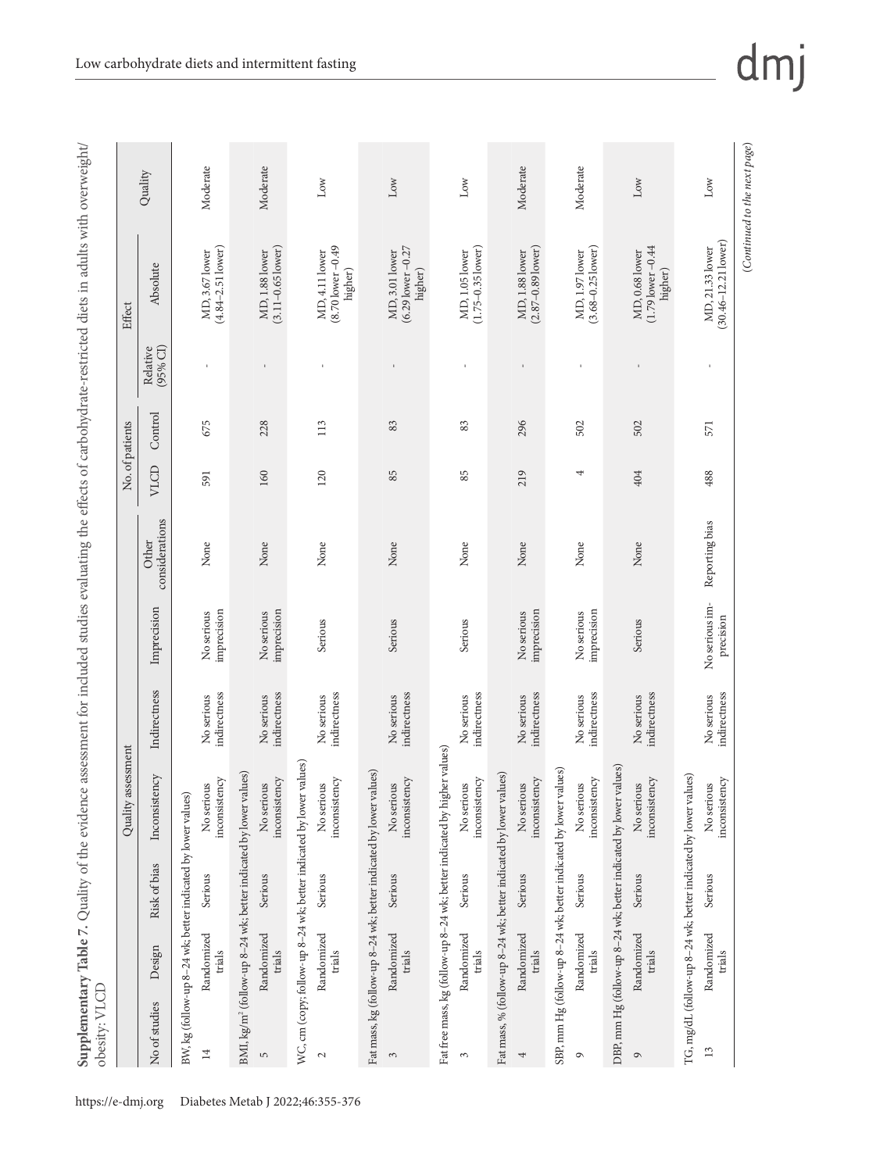| Ι<br>101<br>j                                |                        |
|----------------------------------------------|------------------------|
| 1                                            |                        |
| こうきょうきょう                                     |                        |
| ś<br>.<br>.<br>ļ                             |                        |
| ,                                            |                        |
| j<br>ļ                                       |                        |
| j                                            |                        |
| $\frac{1}{2}$                                |                        |
| ;<br>ł<br>I                                  |                        |
| ו<br>גוב                                     |                        |
| i                                            |                        |
| $\frac{1}{2}$                                |                        |
| í<br>ł<br>ī<br>I                             |                        |
| ・キクキス<br>į<br>ì                              |                        |
| j                                            |                        |
| ֠<br>Ċ<br>l<br>ł<br>j                        |                        |
| ؛<br>j<br>ţ<br>١                             |                        |
| $\zeta$                                      |                        |
| $\frac{1}{2}$<br>J                           |                        |
| i<br>İ<br>Ş<br>i<br>$\overline{\phantom{a}}$ |                        |
| ¢<br>Ì<br>Ś                                  |                        |
| ĵ<br>∖<br>J                                  |                        |
| í<br>į<br>١                                  |                        |
| Ĭ<br>ł                                       |                        |
| i                                            |                        |
| くりて<br>ł                                     |                        |
| į<br>Ì                                       |                        |
| ١<br>₹<br>$\overline{\phantom{a}}$           |                        |
| Ţ<br>Ì<br>$\frac{1}{2}$                      |                        |
| $\mathbf$<br>i                               |                        |
| l<br>ş<br>l<br>i<br>J                        |                        |
| Ì<br>j                                       |                        |
| $\frac{1}{2}$                                |                        |
| $\mathbf$                                    |                        |
| j                                            |                        |
|                                              |                        |
| denc                                         |                        |
|                                              |                        |
|                                              |                        |
|                                              |                        |
|                                              |                        |
|                                              |                        |
|                                              |                        |
| n Table 7                                    |                        |
|                                              |                        |
|                                              |                        |
| $\frac{1}{2}$                                |                        |
|                                              | $\frac{1}{\zeta}$<br>l |
|                                              |                        |
| I                                            |                        |
| l                                            |                        |

|                  |                                                              |              | assessment<br>Quality                                                        |                            |                             |                         | No. of patients |         |                      | Effect                                             |          |
|------------------|--------------------------------------------------------------|--------------|------------------------------------------------------------------------------|----------------------------|-----------------------------|-------------------------|-----------------|---------|----------------------|----------------------------------------------------|----------|
| No of studies    | Design                                                       | Risk of bias | Inconsistency                                                                | Indirectness               | Imprecision                 | considerations<br>Other | VICD            | Control | (95% CI)<br>Relative | Absolute                                           | Quality  |
|                  | BW, kg (follow-up 8-24 wk; better indicated by lower values) |              |                                                                              |                            |                             |                         |                 |         |                      |                                                    |          |
| 14               | Randomized<br>trials                                         | Serious      | inconsistency<br>No serious                                                  | indirectness<br>No serious | imprecision<br>No serious   | None                    | 591             | 675     |                      | $(4.84 - 2.51$ lower)<br>MD, 3.67 lower            | Moderate |
|                  |                                                              |              | BMI, kg/m <sup>2</sup> (follow-up 8-24 wk; better indicated by lower values) |                            |                             |                         |                 |         |                      |                                                    |          |
| $\mathsf{L}\cap$ | Randomized<br>trials                                         | Serious      | inconsistency<br>No serious                                                  | indirectness<br>No serious | No serious<br>imprecision   | None                    | 160             | 228     | $\,$ I               | $(3.11 - 0.65$ lower)<br>MD, 1.88 lower            | Moderate |
|                  |                                                              |              | WC, cm (copy; follow-up 8-24 wk; better indicated by lower values)           |                            |                             |                         |                 |         |                      |                                                    |          |
| $\mathbf{C}$     | Randomized<br>trials                                         | Serious      | inconsistency<br>No serious                                                  | indirectness<br>No serious | Serious                     | None                    | 120             | 113     |                      | $(8.70$ lower $-0.49$<br>MD, 4.11 lower<br>higher) | Low      |
|                  |                                                              |              | Fat mass, kg (follow-up 8-24 wk; better indicated by lower values)           |                            |                             |                         |                 |         |                      |                                                    |          |
| $\sim$           | Randomized<br>trials                                         | Serious      | inconsistency<br>No serious                                                  | indirectness<br>No serious | Serious                     | None                    | 85              | 83      |                      | (6.29 lower -0.27<br>MD, 3.01 lower<br>higher)     | Low      |
|                  |                                                              |              | Fat free mass, kg (follow-up 8-24 wk; better indicated by higher values)     |                            |                             |                         |                 |         |                      |                                                    |          |
| 3                | Randomized<br>trials                                         | Serious      | inconsistency<br>No serious                                                  | indirectness<br>No serious | Serious                     | None                    | 85              | 83      | t,                   | $(1.75 - 0.35$ lower)<br>MD, 1.05 lower            | Low      |
|                  |                                                              |              | Fat mass, % (follow-up 8-24 wk; better indicated by lower values)            |                            |                             |                         |                 |         |                      |                                                    |          |
| 4                | Randomized<br>trials                                         | Serious      | inconsistency<br>No serious                                                  | indirectness<br>No serious | imprecision<br>No serious   | None                    | 219             | 296     | $\mathbf{I}$         | $(2.87 - 0.89$ lower)<br>MD, 1.88 lower            | Moderate |
|                  |                                                              |              | SBP, mm Hg (follow-up 8-24 wk; better indicated by lower values)             |                            |                             |                         |                 |         |                      |                                                    |          |
| $\circ$          | Randomized<br>trials                                         | Serious      | inconsistency<br>No serious                                                  | indirectness<br>No serious | imprecision<br>No serious   | None                    | 4               | 502     | $\mathbf{I}$         | $(3.68 - 0.25$ lower)<br>MD, 1.97 lower            | Moderate |
|                  |                                                              |              | DBP, mm Hg (follow-up 8-24 wk; better indicated by lower values)             |                            |                             |                         |                 |         |                      |                                                    |          |
| $\circ$          | Randomized<br>trials                                         | Serious      | inconsistency<br>No serious                                                  | indirectness<br>No serious | Serious                     | None                    | 404             | 502     |                      | $(1.79$ lower $-0.44$<br>MD, 0.68 lower<br>higher) | Low      |
|                  |                                                              |              | TG, mg/dL (follow-up 8-24 wk; better indicated by lower values)              |                            |                             |                         |                 |         |                      |                                                    |          |
| 13               | Randomized<br>trials                                         | Serious      | inconsistency<br>No serious                                                  | indirectness<br>No serious | No serious im-<br>precision | Reporting bias          | 488             | 571     |                      | $(30.46 - 12.211) over)$<br>MD, 21.33 lower        | Low      |